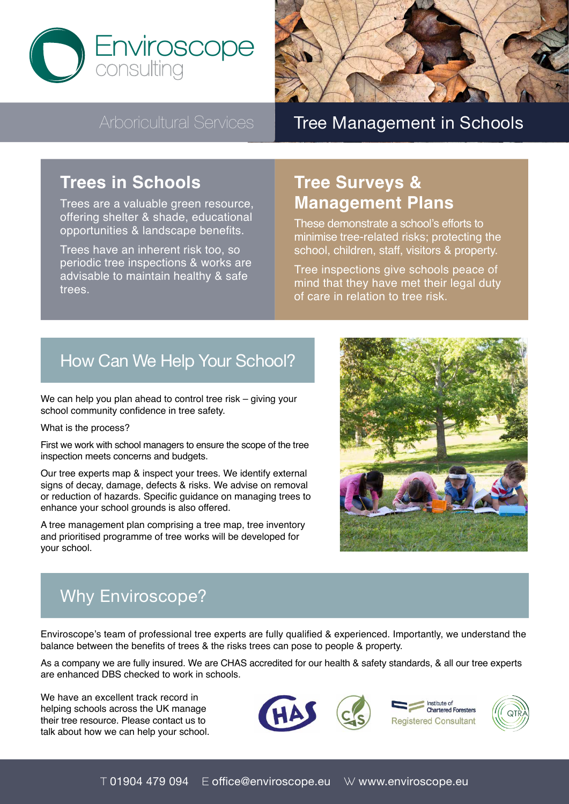



# Arboricultural Services Tree Management in Schools

## **Trees in Schools**

Trees are a valuable green resource, offering shelter & shade, educational opportunities & landscape benefits.

Trees have an inherent risk too, so periodic tree inspections & works are advisable to maintain healthy & safe trees.

# **Tree Surveys & Management Plans**

These demonstrate a school's efforts to minimise tree-related risks; protecting the school, children, staff, visitors & property.

Tree inspections give schools peace of mind that they have met their legal duty of care in relation to tree risk.

# How Can We Help Your School?

We can help you plan ahead to control tree risk – giving your school community confidence in tree safety.

What is the process?

First we work with school managers to ensure the scope of the tree inspection meets concerns and budgets.

Our tree experts map & inspect your trees. We identify external signs of decay, damage, defects & risks. We advise on removal or reduction of hazards. Specific guidance on managing trees to enhance your school grounds is also offered.

A tree management plan comprising a tree map, tree inventory and prioritised programme of tree works will be developed for your school.



# Why Enviroscope?

Enviroscope's team of professional tree experts are fully qualified & experienced. Importantly, we understand the balance between the benefits of trees & the risks trees can pose to people & property.

As a company we are fully insured. We are CHAS accredited for our health & safety standards, & all our tree experts are enhanced DBS checked to work in schools.

We have an excellent track record in helping schools across the UK manage their tree resource. Please contact us to talk about how we can help your school.





Institute of **Chartered Forester Registered Consultant**